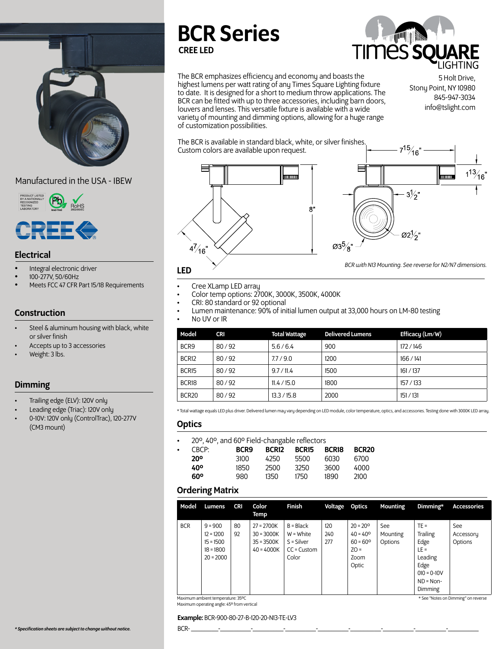

## Manufactured in the USA - IBEW



### Electrical

- Integral electronic driver
- 100-277V, 50/60Hz
- Meets FCC 47 CFR Part 15/18 Requirements

## **Construction**

- Steel & aluminum housing with black, white or silver finish
- Accepts up to 3 accessories
- Weight: 3 lbs.

## **Dimming**

- Trailing edge (ELV): 120V only
- Leading edge (Triac): 120V only
- 0-10V: 120V only (ControlTrac), 120-277V (CM3 mount)

# BCR Series CREE LED



The BCR emphasizes efficiency and economy and boasts the highest lumens per watt rating of any Times Square Lighting fixture to date. It is designed for a short to medium throw applications. The BCR can be fitted with up to three accessories, including barn doors, louvers and lenses. This versatile fixture is available with a wide variety of mounting and dimming options, allowing for a huge range of customization possibilities.

5 Holt Drive, Stony Point, NY 10980 845-947-3034 info@tslight.com

The BCR is available in standard black, white, or silver finishes. Custom colors are available upon request.





*BCR with N13 Mounting. See reverse for N2/N7 dimensions.*

- 
- 
- 
- 
- Cree XLamp LED array Color temp options: 2700K, 3000K, 3500K, 4000K CRI: 80 standard or 92 optional Lumen maintenance: 90% of initial lumen output at 33,000 hours on LM-80 testing No UV or IR
- 

| Model             | <b>CRI</b> | <b>Total Wattage</b> | <b>Delivered Lumens</b> | Efficacy (Lm/W) |
|-------------------|------------|----------------------|-------------------------|-----------------|
| BCR <sub>9</sub>  | 80/92      | 5.6/6.4              | 900                     | 172/146         |
| BCR12             | 80/92      | 7.7/9.0              | 1200                    | 166/141         |
| BCR <sub>15</sub> | 80/92      | 9.7 / 11.4           | 1500                    | 161/137         |
| BCR18             | 80/92      | 11.4 / 15.0          | 1800                    | 157 / 133       |
| BCR <sub>20</sub> | 80/92      | 13.3 / 15.8          | 2000                    | 151 / 131       |

\* Total wattage equals LED plus driver. Delivered lumen may vary depending on LED module, color temperature, optics, and accessories. Testing done with 3000K LED array.

#### **Optics**

• 20º, 40º, and 60º Field-changable reflectors

| $\cdot$ CRCP:<br><b>20°</b> | 3100 | BCR9 BCR12 BCR15 BCR18 BCR20 | 4250 5500 6030 6700 |      |       |
|-----------------------------|------|------------------------------|---------------------|------|-------|
| 40°                         | 1850 |                              | 2500 3250           | 3600 | 4000  |
| 60°                         | 980. |                              | 1350 1750           | 1890 | -2100 |

#### Ordering Matrix

| Model                                                                    | Lumens                                                                | <b>CRI</b> | Color<br>Temp                                                | Finish                                                               | Voltage Optics    |                                                                                        | Mounting                    | Dimming*                                                                                             | <b>Accessories</b>                 |
|--------------------------------------------------------------------------|-----------------------------------------------------------------------|------------|--------------------------------------------------------------|----------------------------------------------------------------------|-------------------|----------------------------------------------------------------------------------------|-----------------------------|------------------------------------------------------------------------------------------------------|------------------------------------|
| <b>BCR</b>                                                               | $9 = 900$<br>$12 = 1200$<br>$15 = 1500$<br>$18 = 1800$<br>$20 = 2000$ | 80<br>92   | $27 = 2700K$<br>$30 = 3000K$<br>$35 = 3500K$<br>$40 = 4000K$ | $B = Black$<br>$W = White$<br>$S = Silver$<br>$CC =$ Custom<br>Color | 120<br>240<br>277 | $20 = 20^{\circ}$<br>$40 = 40^{\circ}$<br>$60 = 60^{\circ}$<br>$ZO =$<br>Zoom<br>Optic | See:<br>Mounting<br>Options | $TE =$<br>Trailing<br>Edge<br>$LE =$<br>Leading<br>Edge<br>$010 = 0 - 10V$<br>$ND = Non-$<br>Dimming | <b>See</b><br>Accessory<br>Options |
| Maximum ambient temperature: 35°C<br>* See "Notes on Dimming" on reverse |                                                                       |            |                                                              |                                                                      |                   |                                                                                        |                             |                                                                                                      |                                    |

Maximum operating angle: 45º from vertical

#### \* See "Notes on Dimming" on reverse

Example: BCR-900-80-27-B-120-20-N13-TE-LV3